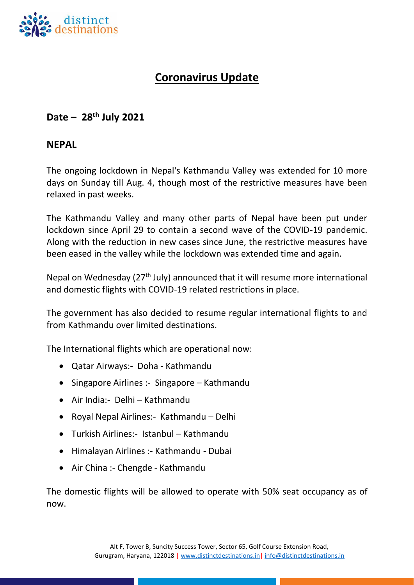

# **Coronavirus Update**

# **Date – 28 th July 2021**

#### **NEPAL**

The ongoing lockdown in Nepal's Kathmandu Valley was extended for 10 more days on Sunday till Aug. 4, though most of the restrictive measures have been relaxed in past weeks.

The Kathmandu Valley and many other parts of Nepal have been put under lockdown since April 29 to contain a second wave of the COVID-19 pandemic. Along with the reduction in new cases since June, the restrictive measures have been eased in the valley while the lockdown was extended time and again.

Nepal on Wednesday ( $27<sup>th</sup>$  July) announced that it will resume more international and domestic flights with COVID-19 related restrictions in place.

The government has also decided to resume regular international flights to and from Kathmandu over limited destinations.

The International flights which are operational now:

- Qatar Airways:- Doha Kathmandu
- Singapore Airlines :- Singapore Kathmandu
- Air India:- Delhi Kathmandu
- Royal Nepal Airlines:- Kathmandu Delhi
- Turkish Airlines:- Istanbul Kathmandu
- Himalayan Airlines :- Kathmandu Dubai
- Air China :- Chengde Kathmandu

The domestic flights will be allowed to operate with 50% seat occupancy as of now.